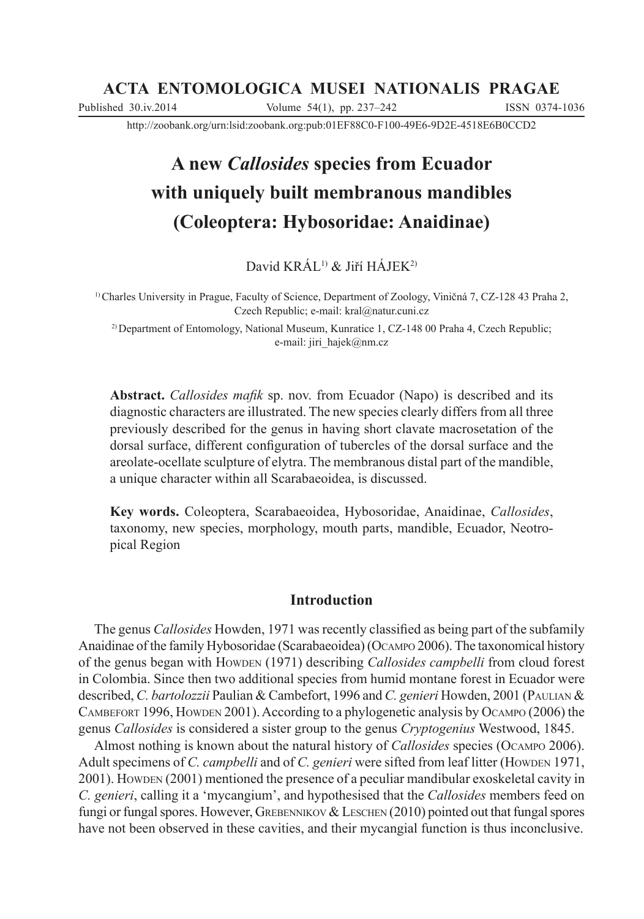# **ACTA ENTOMOLOGICA MUSEI NATIONALIS PRAGAE**

Published 30.iv.2014 Volume 54(1), pp. 237–242 ISSN 0374-1036

http://zoobank.org/urn:lsid:zoobank.org:pub:01EF88C0-F100-49E6-9D2E-4518E6B0CCD2

# **A new** *Callosides* **species from Ecuador with uniquely built membranous mandibles (Coleoptera: Hybosoridae: Anaidinae)**

David KRÁL<sup>1)</sup> & Jiří HÁJEK<sup>2)</sup>

 $1)$  Charles University in Prague, Faculty of Science, Department of Zoology, Viničná 7, CZ-128 43 Praha 2, Czech Republic; e-mail: kral@natur.cuni.cz

2) Department of Entomology, National Museum, Kunratice 1, CZ-148 00 Praha 4, Czech Republic; e-mail: jiri\_hajek@nm.cz

**Abstract.** *Callosides mafik* sp. nov. from Ecuador (Napo) is described and its diagnostic characters are illustrated. The new species clearly differs from all three previously described for the genus in having short clavate macrosetation of the dorsal surface, different configuration of tubercles of the dorsal surface and the areolate-ocellate sculpture of elytra. The membranous distal part of the mandible, a unique character within all Scarabaeoidea, is discussed.

**Key words.** Coleoptera, Scarabaeoidea, Hybosoridae, Anaidinae, *Callosides*, taxonomy, new species, morphology, mouth parts, mandible, Ecuador, Neotropical Region

# **Introduction**

The genus *Callosides* Howden, 1971 was recently classified as being part of the subfamily Anaidinae of the family Hybosoridae (Scarabaeoidea) (OCAMPO 2006). The taxonomical history of the genus began with HOWDEN (1971) describing *Callosides campbelli* from cloud forest in Colombia. Since then two additional species from humid montane forest in Ecuador were described, *C. bartolozzii* Paulian & Cambefort, 1996 and *C. genieri* Howden, 2001 (PAULIAN & CAMBEFORT 1996, HOWDEN 2001). According to a phylogenetic analysis by OCAMPO (2006) the genus *Callosides* is considered a sister group to the genus *Cryptogenius* Westwood, 1845.

Almost nothing is known about the natural history of *Callosides* species (OCAMPO 2006). Adult specimens of *C. campbelli* and of *C. genieri* were sifted from leaf litter (HOWDEN 1971, 2001). HOWDEN (2001) mentioned the presence of a peculiar mandibular exoskeletal cavity in *C. genieri*, calling it a 'mycangium', and hypothesised that the *Callosides* members feed on fungi or fungal spores. However, GREBENNIKOV & LESCHEN (2010) pointed out that fungal spores have not been observed in these cavities, and their mycangial function is thus inconclusive.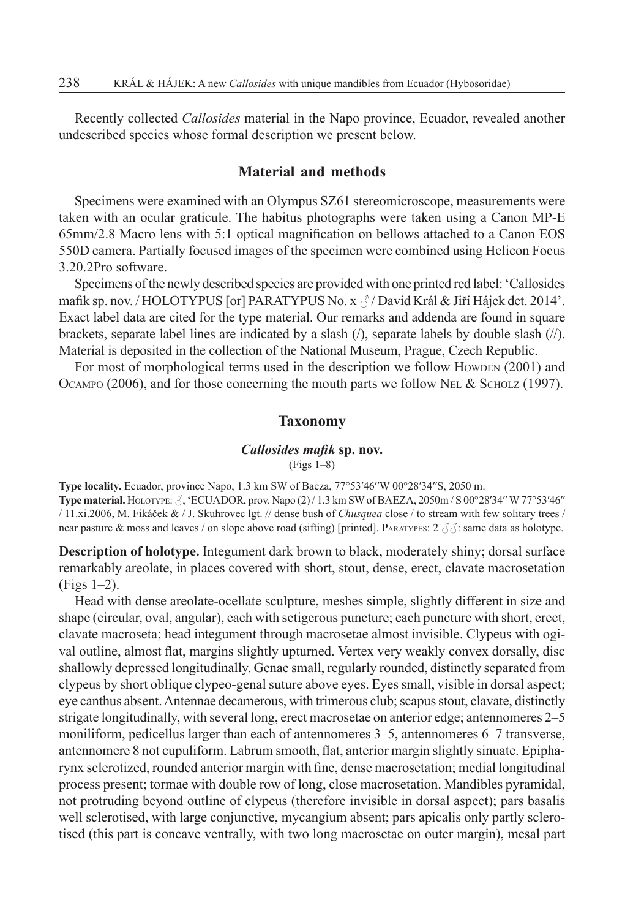Recently collected *Callosides* material in the Napo province, Ecuador, revealed another undescribed species whose formal description we present below.

## **Material and methods**

Specimens were examined with an Olympus SZ61 stereomicroscope, measurements were taken with an ocular graticule. The habitus photographs were taken using a Canon MP-E  $65 \text{mm}/2.8$  Macro lens with 5:1 optical magnification on bellows attached to a Canon EOS 550D camera. Partially focused images of the specimen were combined using Helicon Focus 3.20.2Pro software.

Specimens of the newly described species are provided with one printed red label: 'Callosides mafik sp. nov. / HOLOTYPUS [or] PARATYPUS No. x  $\beta$  / David Král & Jiří Hájek det. 2014'. Exact label data are cited for the type material. Our remarks and addenda are found in square brackets, separate label lines are indicated by a slash (/), separate labels by double slash (//). Material is deposited in the collection of the National Museum, Prague, Czech Republic.

For most of morphological terms used in the description we follow Howden (2001) and OCAMPO (2006), and for those concerning the mouth parts we follow NEL & SCHOLZ (1997).

#### **Taxonomy**

### *Callosides mafik* sp. nov.

(Figs 1–8)

**Type locality.** Ecuador, province Napo, 1.3 km SW of Baeza, 77°53′46″W 00°28′34″S, 2050 m. **Type material.** HOLOTYPE:  $\hat{\beta}$ , 'ECUADOR, prov. Napo (2) / 1.3 km SW of BAEZA, 2050m / S 00°28'34" W 77°53'46" / 11.xi.2006, M. Fikáþek & / J. Skuhrovec lgt. // dense bush of *Chusquea* close / to stream with few solitary trees / near pasture & moss and leaves / on slope above road (sifting) [printed]. PARATYPES:  $2 \text{ } \mathcal{S}$ : same data as holotype.

**Description of holotype.** Integument dark brown to black, moderately shiny; dorsal surface remarkably areolate, in places covered with short, stout, dense, erect, clavate macrosetation (Figs 1–2).

Head with dense areolate-ocellate sculpture, meshes simple, slightly different in size and shape (circular, oval, angular), each with setigerous puncture; each puncture with short, erect, clavate macroseta; head integument through macrosetae almost invisible. Clypeus with ogival outline, almost flat, margins slightly upturned. Vertex very weakly convex dorsally, disc shallowly depressed longitudinally. Genae small, regularly rounded, distinctly separated from clypeus by short oblique clypeo-genal suture above eyes. Eyes small, visible in dorsal aspect; eye canthus absent. Antennae decamerous, with trimerous club; scapus stout, clavate, distinctly strigate longitudinally, with several long, erect macrosetae on anterior edge; antennomeres 2–5 moniliform, pedicellus larger than each of antennomeres 3–5, antennomeres 6–7 transverse, antennomere 8 not cupuliform. Labrum smooth, flat, anterior margin slightly sinuate. Epipharynx sclerotized, rounded anterior margin with fine, dense macrosetation; medial longitudinal process present; tormae with double row of long, close macrosetation. Mandibles pyramidal, not protruding beyond outline of clypeus (therefore invisible in dorsal aspect); pars basalis well sclerotised, with large conjunctive, mycangium absent; pars apicalis only partly sclerotised (this part is concave ventrally, with two long macrosetae on outer margin), mesal part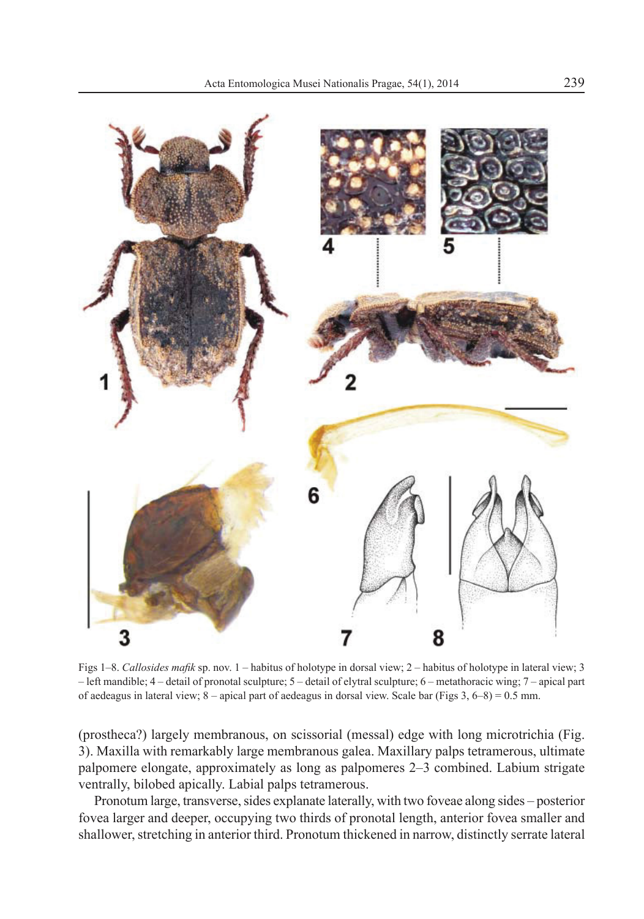

Figs 1–8. Callosides mafik sp. nov. 1 – habitus of holotype in dorsal view; 2 – habitus of holotype in lateral view; 3 – left mandible; 4 – detail of pronotal sculpture; 5 – detail of elytral sculpture; 6 – metathoracic wing; 7 – apical part of aedeagus in lateral view;  $8$  – apical part of aedeagus in dorsal view. Scale bar (Figs 3,  $6-8$ ) = 0.5 mm.

(prostheca?) largely membranous, on scissorial (messal) edge with long microtrichia (Fig. 3). Maxilla with remarkably large membranous galea. Maxillary palps tetramerous, ultimate palpomere elongate, approximately as long as palpomeres 2–3 combined. Labium strigate ventrally, bilobed apically. Labial palps tetramerous.

Pronotum large, transverse, sides explanate laterally, with two foveae along sides – posterior fovea larger and deeper, occupying two thirds of pronotal length, anterior fovea smaller and shallower, stretching in anterior third. Pronotum thickened in narrow, distinctly serrate lateral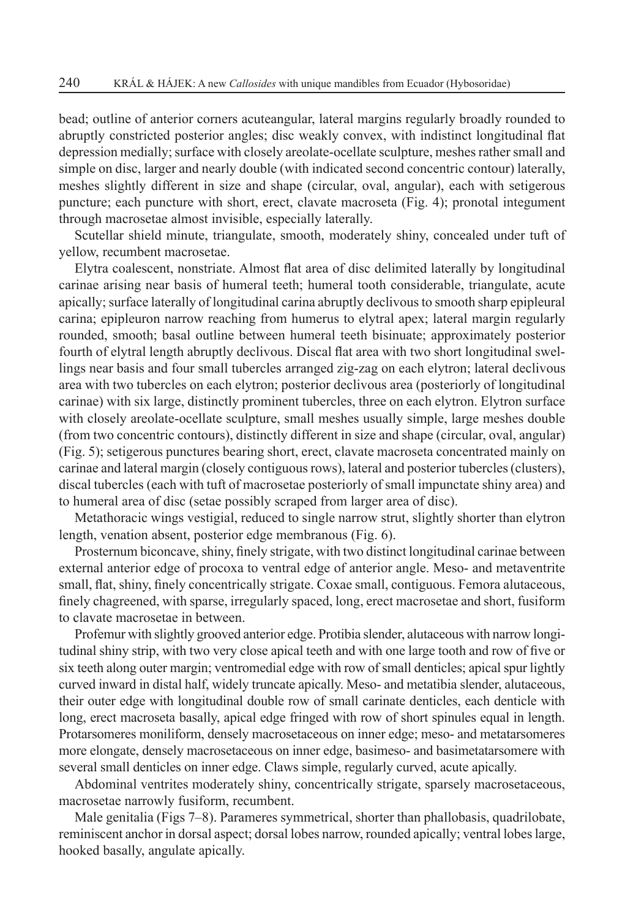bead; outline of anterior corners acuteangular, lateral margins regularly broadly rounded to abruptly constricted posterior angles; disc weakly convex, with indistinct longitudinal flat depression medially; surface with closely areolate-ocellate sculpture, meshes rather small and simple on disc, larger and nearly double (with indicated second concentric contour) laterally, meshes slightly different in size and shape (circular, oval, angular), each with setigerous puncture; each puncture with short, erect, clavate macroseta (Fig. 4); pronotal integument through macrosetae almost invisible, especially laterally.

Scutellar shield minute, triangulate, smooth, moderately shiny, concealed under tuft of yellow, recumbent macrosetae.

Elytra coalescent, nonstriate. Almost flat area of disc delimited laterally by longitudinal carinae arising near basis of humeral teeth; humeral tooth considerable, triangulate, acute apically; surface laterally of longitudinal carina abruptly declivous to smooth sharp epipleural carina; epipleuron narrow reaching from humerus to elytral apex; lateral margin regularly rounded, smooth; basal outline between humeral teeth bisinuate; approximately posterior fourth of elytral length abruptly declivous. Discal flat area with two short longitudinal swellings near basis and four small tubercles arranged zig-zag on each elytron; lateral declivous area with two tubercles on each elytron; posterior declivous area (posteriorly of longitudinal carinae) with six large, distinctly prominent tubercles, three on each elytron. Elytron surface with closely areolate-ocellate sculpture, small meshes usually simple, large meshes double (from two concentric contours), distinctly different in size and shape (circular, oval, angular) (Fig. 5); setigerous punctures bearing short, erect, clavate macroseta concentrated mainly on carinae and lateral margin (closely contiguous rows), lateral and posterior tubercles (clusters), discal tubercles (each with tuft of macrosetae posteriorly of small impunctate shiny area) and to humeral area of disc (setae possibly scraped from larger area of disc).

Metathoracic wings vestigial, reduced to single narrow strut, slightly shorter than elytron length, venation absent, posterior edge membranous (Fig. 6).

Prosternum biconcave, shiny, finely strigate, with two distinct longitudinal carinae between external anterior edge of procoxa to ventral edge of anterior angle. Meso- and metaventrite small, flat, shiny, finely concentrically strigate. Coxae small, contiguous. Femora alutaceous, finely chagreened, with sparse, irregularly spaced, long, erect macrosetae and short, fusiform to clavate macrosetae in between.

Profemur with slightly grooved anterior edge. Protibia slender, alutaceous with narrow longitudinal shiny strip, with two very close apical teeth and with one large tooth and row of five or six teeth along outer margin; ventromedial edge with row of small denticles; apical spur lightly curved inward in distal half, widely truncate apically. Meso- and metatibia slender, alutaceous, their outer edge with longitudinal double row of small carinate denticles, each denticle with long, erect macroseta basally, apical edge fringed with row of short spinules equal in length. Protarsomeres moniliform, densely macrosetaceous on inner edge; meso- and metatarsomeres more elongate, densely macrosetaceous on inner edge, basimeso- and basimetatarsomere with several small denticles on inner edge. Claws simple, regularly curved, acute apically.

Abdominal ventrites moderately shiny, concentrically strigate, sparsely macrosetaceous, macrosetae narrowly fusiform, recumbent.

Male genitalia (Figs 7–8). Parameres symmetrical, shorter than phallobasis, quadrilobate, reminiscent anchor in dorsal aspect; dorsal lobes narrow, rounded apically; ventral lobes large, hooked basally, angulate apically.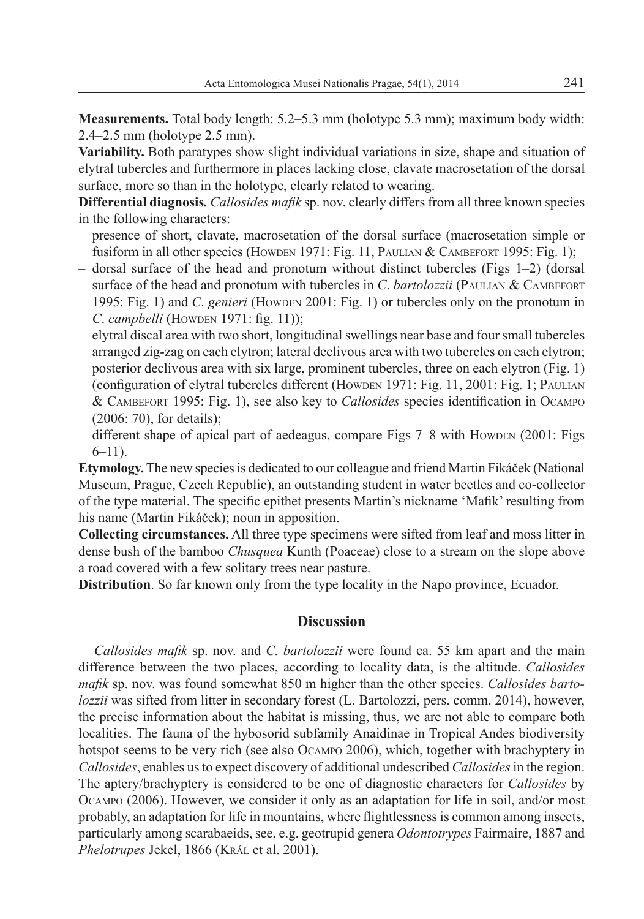**Measurements.** Total body length: 5.2–5.3 mm (holotype 5.3 mm); maximum body width: 2.4–2.5 mm (holotype 2.5 mm).

**Variability.** Both paratypes show slight individual variations in size, shape and situation of elytral tubercles and furthermore in places lacking close, clavate macrosetation of the dorsal surface, more so than in the holotype, clearly related to wearing.

**Differential diagnosis.** *Callosides mafik* sp. nov. clearly differs from all three known species in the following characters:

- presence of short, clavate, macrosetation of the dorsal surface (macrosetation simple or fusiform in all other species (HOWDEN 1971: Fig. 11, PAULIAN & CAMBEFORT 1995: Fig. 1);
- dorsal surface of the head and pronotum without distinct tubercles (Figs 1–2) (dorsal surface of the head and pronotum with tubercles in *C*. *bartolozzii* (PAULIAN & CAMBEFORT 1995: Fig. 1) and *C*. *genieri* (HOWDEN 2001: Fig. 1) or tubercles only on the pronotum in *C. campbelli* (HOWDEN 1971: fig. 11));
- elytral discal area with two short, longitudinal swellings near base and four small tubercles arranged zig-zag on each elytron; lateral declivous area with two tubercles on each elytron; posterior declivous area with six large, prominent tubercles, three on each elytron (Fig. 1) (configuration of elytral tubercles different (HOWDEN 1971: Fig. 11, 2001: Fig. 1; PAULIAN & CAMBEFORT 1995: Fig. 1), see also key to *Callosides* species identification in OCAMPO (2006: 70), for details);
- different shape of apical part of aedeagus, compare Figs 7–8 with HOWDEN (2001: Figs  $6-11$ ).

**Etymology.** The new species is dedicated to our colleague and friend Martin Fikáček (National Museum, Prague, Czech Republic), an outstanding student in water beetles and co-collector of the type material. The specific epithet presents Martin's nickname 'Mafik' resulting from his name (Martin Fikáček); noun in apposition.

**Collecting circumstances.** All three type specimens were sifted from leaf and moss litter in dense bush of the bamboo *Chusquea* Kunth (Poaceae) close to a stream on the slope above a road covered with a few solitary trees near pasture.

**Distribution**. So far known only from the type locality in the Napo province, Ecuador.

# **Discussion**

*Callosides mafik* sp. nov. and *C. bartolozzii* were found ca. 55 km apart and the main difference between the two places, according to locality data, is the altitude. *Callosides mafik* sp. nov. was found somewhat 850 m higher than the other species. *Callosides bartolozzii* was sifted from litter in secondary forest (L. Bartolozzi, pers. comm. 2014), however, the precise information about the habitat is missing, thus, we are not able to compare both localities. The fauna of the hybosorid subfamily Anaidinae in Tropical Andes biodiversity hotspot seems to be very rich (see also OCAMPO 2006), which, together with brachyptery in *Callosides*, enables us to expect discovery of additional undescribed *Callosides* in the region. The aptery/brachyptery is considered to be one of diagnostic characters for *Callosides* by OCAMPO (2006). However, we consider it only as an adaptation for life in soil, and/or most probably, an adaptation for life in mountains, where flightlessness is common among insects, particularly among scarabaeids, see, e.g. geotrupid genera *Odontotrypes* Fairmaire, 1887 and *Phelotrupes* Jekel, 1866 (KRÁL et al. 2001).